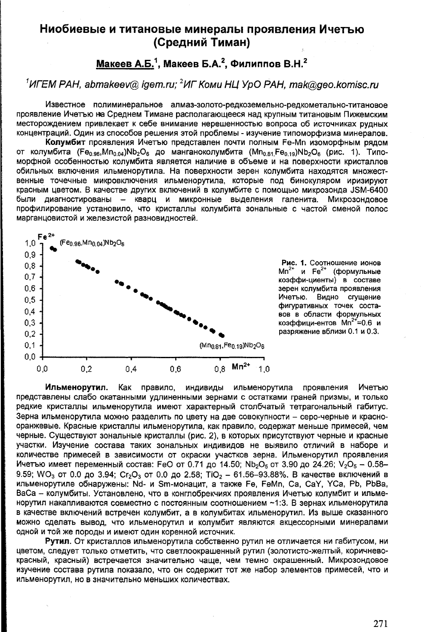## Ниобиевые и титановые минералы проявления Ичетью (Средний Тиман)

## Макеев А.Б.<sup>1</sup>, Макеев Б.А.<sup>2</sup>, Филиппов В.Н.<sup>2</sup>

## $1$ ИГЕМ РАН, abmakeey@ igem.ru:  $2$ ИГ Коми НЦ УрО РАН, mak@geo.komisc.ru

Известное полиминеральное алмаз-золото-редкоземельно-редкометально-титановое проявление Ичетъю на Среднем Тимане располагающееся над крупным титановым Пижемским месторождением привлекает к себе внимание нерешенностью вопроса об источниках рудных концентраций. Один из способов решения этой проблемы - изучение типоморфизма минералов.

Колумбит проявления Ичетью представлен почти полным Fe-Mn изоморфным рядом от колумбита (Fe<sub>0.96</sub>, Mn<sub>0.04</sub>)Nb<sub>2</sub>O<sub>6</sub> до манганоколумбита (Mn<sub>0.81</sub>, Fe<sub>0.19</sub>)Nb<sub>2</sub>O<sub>6</sub> (рис. 1). Типоморфной особенностью колумбита является наличие в объеме и на поверхности кристаллов обильных включения ильменорутила. На поверхности зерен колумбита находятся множественные точечные микровключения ильменорутила, которые под бинокуляром иризируют красным цветом. В качестве других включений в колумбите с помощью микрозонда JSM-6400 были диагностированы - кварц и микронные выделения галенита. Микрозондовое профилирование установило, что кристаллы колумбита зональные с частой сменой полос марганцовистой и железистой разновидностей.



Рис. 1. Соотношение ионов  $Mn^{2+}$  и  $Fe^{2+}$ (формульные коэффи-циенты) в составе зерен колумбита проявления Ичетью. Видно сгущение фигуративных точек составов в области формульных коэффици-ентов Mn<sup>2+</sup>=0.6 и разряжение вблизи 0.1 и 0.3.

Ильменорутил. Как правило, индивиды ильменорутила проявления Ичетъю представлены слабо окатанными удлиненными зернами с остатками граней призмы, и только редкие кристаллы ильменорутила имеют характерный столбчатый тетрагональный габитус. Зерна ильменорутила можно разделить по цвету на две совокупности - серо-черные и краснооранжевые. Красные кристаллы ильменорутила, как правило, содержат меньше примесей, чем черные. Существуют зональные кристаллы (рис. 2), в которых присутствуют черные и красные участки. Изучение состава таких зональных индивидов не выявило отличий в наборе и количестве примесей в зависимости от окраски участков зерна. Ильменорутил проявления Ичетью имеет переменный состав: FeO от 0.71 до 14.50; Nb<sub>2</sub>O<sub>5</sub> от 3.90 до 24.26; V<sub>2</sub>O<sub>5</sub> - 0.58-9.59; WO<sub>3</sub> от 0.0 до 3.94; Сг<sub>2</sub>О<sub>3</sub> от 0.0 до 2.58; TiO<sub>2</sub> - 61.56-93.88%, В качестве включений в ильменорутиле обнаружены: Nd- и Sm-монацит, а также Fe, FeMn, Ca, CaY, YCa, Pb, PbBa, ВаСа - колумбиты. Установлено, что в конглобрекчиях проявления Ичетью колумбит и ильменорутил накапливаются совместно с постоянным соотношением ~1:3. В зернах ильменорутила в качестве включений встречен колумбит, а в колумбитах ильменорутил. Из выше сказанного можно сделать вывод, что ильменорутил и колумбит являются акцессорными минералами одной и той же породы и имеют один коренной источник.

Рутил. От кристаллов ильменорутила собственно рутил не отличается ни габитусом, ни цветом, следует только отметить, что светлоокрашенный рутил (золотисто-желтый, коричневокрасный, красный) встречается значительно чаще, чем темно окрашенный. Микрозондовое изучение состава рутила показало, что он содержит тот же набор элементов примесей, что и ильменорутил, но в значительно меньших количествах.